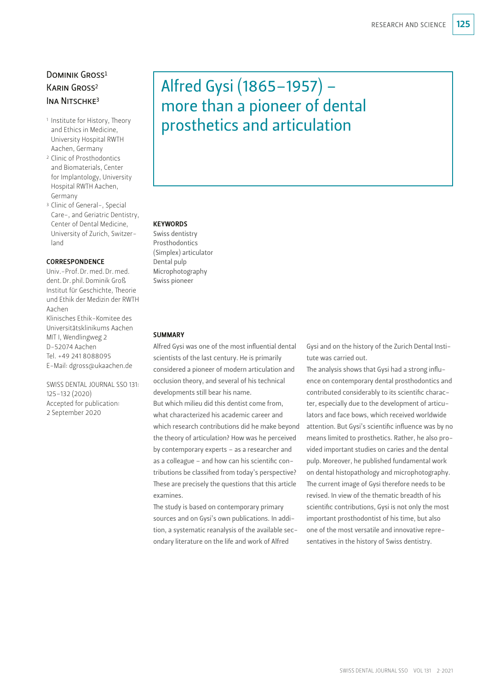## Dominik Gross1 Karin Gross2 INA NITSCHKE3

- <sup>1</sup> Institute for History, Theory and Ethics in Medicine, University Hospital RWTH Aachen, Germany
- <sup>2</sup> Clinic of Prosthodontics and Biomaterials, Center for Implantology, University Hospital RWTH Aachen, Germany
- <sup>3</sup> Clinic of General-, Special Care-, and Geriatric Dentistry, Center of Dental Medicine, University of Zurich, Switzerland

#### **CORRESPONDENCE**

Univ.-Prof. Dr. med. Dr. med. dent. Dr. phil. Dominik Groß Institut für Geschichte, Theorie und Ethik der Medizin der RWTH Aachen Klinisches Ethik-Komitee des Universitätsklinikums Aachen MIT I, Wendlingweg 2 D-52074 Aachen Tel. +49 241 8088095 E-Mail: dgross@ukaachen.de

SWISS DENTAL JOURNAL SSO 131: 125–132 (2020) Accepted for publication: 2 September 2020

# Alfred Gysi (1865–1957) – more than a pioneer of dental prosthetics and articulation

#### **KEYWORDS**

Swiss dentistry Prosthodontics (Simplex) articulator Dental pulp Microphotography Swiss pioneer

#### **SUMMARY**

Alfred Gysi was one of the most influential dental scientists of the last century. He is primarily considered a pioneer of modern articulation and occlusion theory, and several of his technical developments still bear his name. But which milieu did this dentist come from, what characterized his academic career and which research contributions did he make beyond the theory of articulation? How was he perceived by contemporary experts – as a researcher and as a colleague – and how can his scientific contributions be classified from today's perspective? These are precisely the questions that this article examines.

The study is based on contemporary primary sources and on Gysi's own publications. In addition, a systematic reanalysis of the available secondary literature on the life and work of Alfred

Gysi and on the history of the Zurich Dental Institute was carried out.

The analysis shows that Gysi had a strong influence on contemporary dental prosthodontics and contributed considerably to its scientific character, especially due to the development of articulators and face bows, which received worldwide attention. But Gysi's scientific influence was by no means limited to prosthetics. Rather, he also provided important studies on caries and the dental pulp. Moreover, he published fundamental work on dental histopathology and microphotography. The current image of Gysi therefore needs to be revised. In view of the thematic breadth of his scientific contributions, Gysi is not only the most important prosthodontist of his time, but also one of the most versatile and innovative representatives in the history of Swiss dentistry.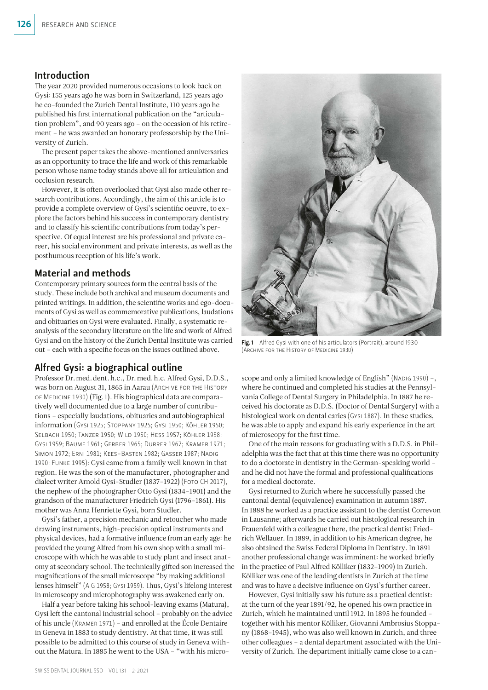## Introduction

The year 2020 provided numerous occasions to look back on Gysi: 155 years ago he was born in Switzerland, 125 years ago he co-founded the Zurich Dental Institute, 110 years ago he published his first international publication on the "articulation problem", and 90 years ago – on the occasion of his retirement – he was awarded an honorary professorship by the University of Zurich.

The present paper takes the above-mentioned anniversaries as an opportunity to trace the life and work of this remarkable person whose name today stands above all for articulation and occlusion research.

However, it is often overlooked that Gysi also made other research contributions. Accordingly, the aim of this article is to provide a complete overview of Gysi's scientific oeuvre, to explore the factors behind his success in contemporary dentistry and to classify his scientific contributions from today's perspective. Of equal interest are his professional and private career, his social environment and private interests, as well as the posthumous reception of his life's work.

## Material and methods

Contemporary primary sources form the central basis of the study. These include both archival and museum documents and printed writings. In addition, the scientific works and ego-documents of Gysi as well as commemorative publications, laudations and obituaries on Gysi were evaluated. Finally, a systematic reanalysis of the secondary literature on the life and work of Alfred Gysi and on the history of the Zurich Dental Institute was carried out – each with a specific focus on the issues outlined above.

## Alfred Gysi: a biographical outline

Professor Dr. med. dent. h.c., Dr. med. h.c. Alfred Gysi, D.D.S., was born on August 31, 1865 in Aarau (Archive for the History of Medicine 1930) (Fig. 1). His biographical data are comparatively well documented due to a large number of contributions – especially laudations, obituaries and autobiographical information (Gysi 1925; Stoppany 1925; Gysi 1950; Köhler 1950; Selbach 1950; Tanzer 1950; Wild 1950; Hess 1957; Köhler 1958; Gysi 1959; Baume 1961; Gerber 1965; Durrer 1967; Kramer 1971; Simon 1972; Erni 1981; Kees-Basten 1982; Gasser 1987; Nadig 1990; Funke 1995): Gysi came from a family well known in that region. He was the son of the manufacturer, photographer and dialect writer Arnold Gysi-Studler (1837–1922) (Foto CH 2017), the nephew of the photographer Otto Gysi (1834–1901) and the grandson of the manufacturer Friedrich Gysi (1796–1861). His mother was Anna Henriette Gysi, born Studler.

Gysi's father, a precision mechanic and retoucher who made drawing instruments, high-precision optical instruments and physical devices, had a formative influence from an early age: he provided the young Alfred from his own shop with a small microscope with which he was able to study plant and insect anatomy at secondary school. The technically gifted son increased the magnifications of the small microscope "by making additional lenses himself" (A G 1958; Gysi 1959). Thus, Gysi's lifelong interest in microscopy and microphotography was awakened early on.

Half a year before taking his school-leaving exams (Matura), Gysi left the cantonal industrial school – probably on the advice of his uncle (Kramer 1971) – and enrolled at the École Dentaire in Geneva in 1883 to study dentistry. At that time, it was still possible to be admitted to this course of study in Geneva without the Matura. In 1885 he went to the USA – "with his micro-



Fig. 1 Alfred Gysi with one of his articulators (Portrait), around 1930 ( Archive for the History of Medicine 1930)

scope and only a limited knowledge of English" (NADIG 1990) -, where he continued and completed his studies at the Pennsylvania College of Dental Surgery in Philadelphia. In 1887 he received his doctorate as D.D.S. (Doctor of Dental Surgery) with a histological work on dental caries (Gysi 1887). In these studies, he was able to apply and expand his early experience in the art of microscopy for the first time.

One of the main reasons for graduating with a D.D.S. in Philadelphia was the fact that at this time there was no opportunity to do a doctorate in dentistry in the German-speaking world – and he did not have the formal and professional qualifications for a medical doctorate.

Gysi returned to Zurich where he successfully passed the cantonal dental (equivalence) examination in autumn 1887. In 1888 he worked as a practice assistant to the dentist Correvon in Lausanne; afterwards he carried out histological research in Frauenfeld with a colleague there, the practical dentist Friedrich Wellauer. In 1889, in addition to his American degree, he also obtained the Swiss Federal Diploma in Dentistry. In 1891 another professional change was imminent: he worked briefly in the practice of Paul Alfred Kölliker (1832–1909) in Zurich. Kölliker was one of the leading dentists in Zurich at the time and was to have a decisive influence on Gysi's further career.

However, Gysi initially saw his future as a practical dentist: at the turn of the year 1891/92, he opened his own practice in Zurich, which he maintained until 1912. In 1895 he founded – together with his mentor Kölliker, Giovanni Ambrosius Stoppany (1868–1945), who was also well known in Zurich, and three other colleagues – a dental department associated with the University of Zurich. The department initially came close to a can-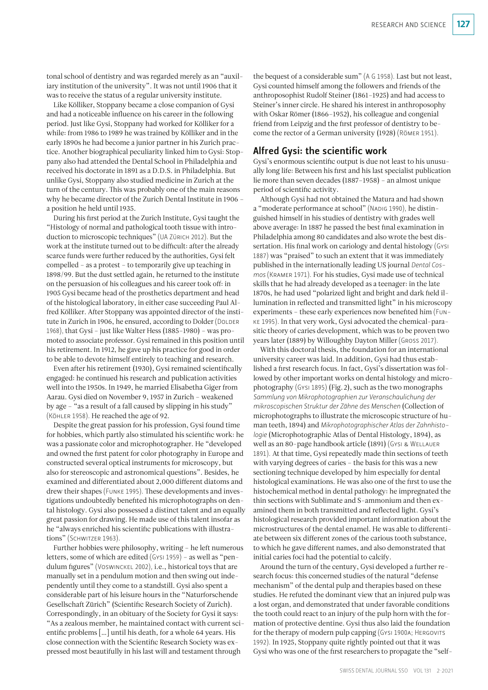tonal school of dentistry and was regarded merely as an "auxiliary institution of the university". It was not until 1906 that it was to receive the status of a regular university institute.

Like Kölliker, Stoppany became a close companion of Gysi and had a noticeable influence on his career in the following period. Just like Gysi, Stoppany had worked for Kölliker for a while: from 1986 to 1989 he was trained by Kölliker and in the early 1890s he had become a junior partner in his Zurich practice. Another biographical peculiarity linked him to Gysi: Stoppany also had attended the Dental School in Philadelphia and received his doctorate in 1891 as a D.D.S. in Philadelphia. But unlike Gysi, Stoppany also studied medicine in Zurich at the turn of the century. This was probably one of the main reasons why he became director of the Zurich Dental Institute in 1906 – a position he held until 1935.

During his first period at the Zurich Institute, Gysi taught the "Histology of normal and pathological tooth tissue with introduction to microscopic techniques" (UA Zürich 2012). But the work at the institute turned out to be difficult: after the already scarce funds were further reduced by the authorities, Gysi felt compelled – as a protest – to temporarily give up teaching in 1898/99. But the dust settled again, he returned to the institute on the persuasion of his colleagues and his career took off: in 1905 Gysi became head of the prosthetics department and head of the histological laboratory, in either case succeeding Paul Alfred Kölliker. After Stoppany was appointed director of the institute in Zurich in 1906, he ensured, according to Dolder (DOLDER 1968), that Gysi – just like Walter Hess (1885–1980) – was promoted to associate professor. Gysi remained in this position until his retirement. In 1912, he gave up his practice for good in order to be able to devote himself entirely to teaching and research.

Even after his retirement (1930), Gysi remained scientifically engaged: he continued his research and publication activities well into the 1950s. In 1949, he married Elisabetha Giger from Aarau. Gysi died on November 9, 1957 in Zurich – weakened by age – "as a result of a fall caused by slipping in his study" (Köhler 1958). He reached the age of 92.

Despite the great passion for his profession, Gysi found time for hobbies, which partly also stimulated his scientific work: he was a passionate color and microphotographer. He "developed and owned the first patent for color photography in Europe and constructed several optical instruments for microscopy, but also for stereoscopic and astronomical questions". Besides, he examined and differentiated about 2,000 different diatoms and drew their shapes (Funke 1995). These developments and investigations undoubtedly benefited his microphotographs on dental histology. Gysi also possessed a distinct talent and an equally great passion for drawing. He made use of this talent insofar as he "always enriched his scientific publications with illustrations" (SCHWITZER 1963).

Further hobbies were philosophy, writing – he left numerous letters, some of which are edited (Gysi 1959) – as well as "pendulum figures" (Voswinckel 2002), i.e., historical toys that are manually set in a pendulum motion and then swing out independently until they come to a standstill. Gysi also spent a considerable part of his leisure hours in the "Naturforschende Gesellschaft Zürich" (Scientific Research Society of Zurich). Correspondingly, in an obituary of the Society for Gysi it says: "As a zealous member, he maintained contact with current scientific problems […] until his death, for a whole 64 years. His close connection with the Scientific Research Society was expressed most beautifully in his last will and testament through

the bequest of a considerable sum" (A G 1958). Last but not least, Gysi counted himself among the followers and friends of the anthroposophist Rudolf Steiner (1861–1925) and had access to Steiner's inner circle. He shared his interest in anthroposophy with Oskar Römer (1866–1952), his colleague and congenial friend from Leipzig and the first professor of dentistry to become the rector of a German university (1928) (Römer 1951).

## Alfred Gysi: the scientific work

Gysi's enormous scientific output is due not least to his unusually long life: Between his first and his last specialist publication lie more than seven decades (1887–1958) – an almost unique period of scientific activity.

Although Gysi had not obtained the Matura and had shown a "moderate performance at school" (Nadig 1990), he distinguished himself in his studies of dentistry with grades well above average: In 1887 he passed the best final examination in Philadelphia among 80 candidates and also wrote the best dissertation. His final work on cariology and dental histology (Gysi 1887) was "praised" to such an extent that it was immediately published in the internationally leading US journal *Dental Cosmos* (Kramer 1971). For his studies, Gysi made use of technical skills that he had already developed as a teenager: in the late 1870s, he had used "polarized light and bright and dark field illumination in reflected and transmitted light" in his microscopy experiments – these early experiences now benefited him (Funke 1995). In that very work, Gysi advocated the chemical-parasitic theory of caries development, which was to be proven two years later (1889) by Willoughby Dayton Miller (Gross 2017).

With this doctoral thesis, the foundation for an international university career was laid. In addition, Gysi had thus established a first research focus. In fact, Gysi's dissertation was followed by other important works on dental histology and microphotography (Gysi 1895) (Fig. 2), such as the two monographs *Sammlung von Mikrophotographien zur Veranschaulichung der mikroscopischen Struktur der Zähne des Menschen* (Collection of microphotographs to illustrate the microscopic structure of human teeth, 1894) and *Mikrophotographischer Atlas der Zahnhistologie* (Microphotographic Atlas of Dental Histology, 1894), as well as an 80-page handbook article (1891) (Gysi & Wellauer 1891). At that time, Gysi repeatedly made thin sections of teeth with varying degrees of caries – the basis for this was a new sectioning technique developed by him especially for dental histological examinations. He was also one of the first to use the histochemical method in dental pathology: he impregnated the thin sections with Sublimate and S-ammonium and then examined them in both transmitted and reflected light. Gysi's histological research provided important information about the microstructures of the dental enamel. He was able to differentiate between six different zones of the carious tooth substance, to which he gave different names, and also demonstrated that initial caries foci had the potential to calcify.

Around the turn of the century, Gysi developed a further research focus: this concerned studies of the natural "defense mechanism" of the dental pulp and therapies based on these studies. He refuted the dominant view that an injured pulp was a lost organ, and demonstrated that under favorable conditions the tooth could react to an injury of the pulp horn with the formation of protective dentine. Gysi thus also laid the foundation for the therapy of modern pulp capping (Gysi 1900a; Hergovits 1992). In 1925, Stoppany quite rightly pointed out that it was Gysi who was one of the first researchers to propagate the "self-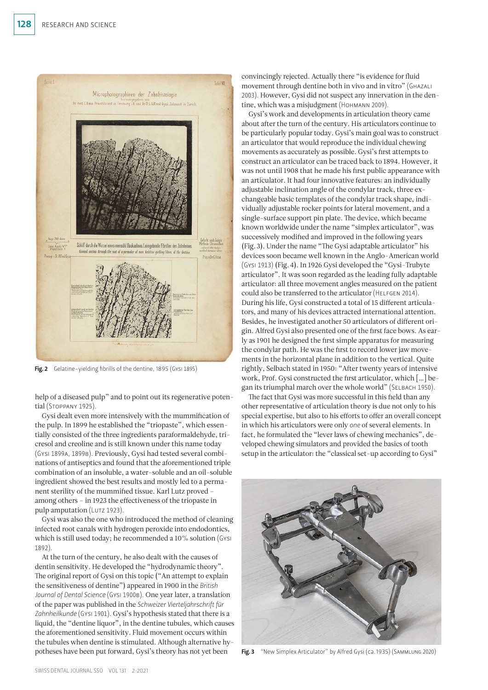

Fig. 2 Gelatine-yielding fibrills of the dentine, 1895 (Gysi 1895)

help of a diseased pulp" and to point out its regenerative potential (Stoppany 1925).

Gysi dealt even more intensively with the mummification of the pulp. In 1899 he established the "triopaste", which essentially consisted of the three ingredients paraformaldehyde, tricresol and creoline and is still known under this name today (Gysi 1899a, 1899b). Previously, Gysi had tested several combinations of antiseptics and found that the aforementioned triple combination of an insoluble, a water-soluble and an oil-soluble ingredient showed the best results and mostly led to a permanent sterility of the mummified tissue. Karl Lutz proved – among others – in 1923 the effectiveness of the triopaste in pulp amputation (LUTZ 1923).

Gysi was also the one who introduced the method of cleaning infected root canals with hydrogen peroxide into endodontics, which is still used today; he recommended a 10% solution (Gysi 1892).

At the turn of the century, he also dealt with the causes of dentin sensitivity. He developed the "hydrodynamic theory". The original report of Gysi on this topic ("An attempt to explain the sensitiveness of dentine") appeared in 1900 in the *British*  Journal of Dental Science (Gysi 1900B). One year later, a translation of the paper was published in the *Schweizer Vierteljahrschrift für Zahnheilkunde* (Gysi 1901). Gysi's hypothesis stated that there is a liquid, the "dentine liquor", in the dentine tubules, which causes the aforementioned sensitivity. Fluid movement occurs within the tubules when dentine is stimulated. Although alternative hypotheses have been put forward, Gysi's theory has not yet been

convincingly rejected. Actually there "is evidence for fluid movement through dentine both in vivo and in vitro" (Ghazali 2003). However, Gysi did not suspect any innervation in the dentine, which was a misjudgment (Hohmann 2009).

Gysi's work and developments in articulation theory came about after the turn of the century. His articulators continue to be particularly popular today. Gysi's main goal was to construct an articulator that would reproduce the individual chewing movements as accurately as possible. Gysi's first attempts to construct an articulator can be traced back to 1894. However, it was not until 1908 that he made his first public appearance with an articulator. It had four innovative features: an individually adjustable inclination angle of the condylar track, three exchangeable basic templates of the condylar track shape, individually adjustable rocker points for lateral movement, and a single-surface support pin plate. The device, which became known worldwide under the name "simplex articulator", was successively modified and improved in the following years (Fig. 3). Under the name "The Gysi adaptable articulator" his devices soon became well known in the Anglo-American world (Gysi 1913) (Fig. 4). In 1926 Gysi developed the "Gysi-Trubyte articulator". It was soon regarded as the leading fully adaptable articulator: all three movement angles measured on the patient could also be transferred to the articulator (HELFGEN 2014). During his life, Gysi constructed a total of 15 different articulators, and many of his devices attracted international attention. Besides, he investigated another 50 articulators of different origin. Alfred Gysi also presented one of the first face bows. As early as 1901 he designed the first simple apparatus for measuring the condylar path. He was the first to record lower jaw movements in the horizontal plane in addition to the vertical. Quite rightly, Selbach stated in 1950: "After twenty years of intensive work, Prof. Gysi constructed the first articulator, which […] began its triumphal march over the whole world" (Selbach 1950).

The fact that Gysi was more successful in this field than any other representative of articulation theory is due not only to his special expertise, but also to his efforts to offer an overall concept in which his articulators were only *one* of several elements. In fact, he formulated the "lever laws of chewing mechanics", developed chewing simulators and provided the basics of tooth setup in the articulator: the "classical set-up according to Gysi"



Fig. 3 "New Simplex Articulator" by Alfred Gysi (ca. 1935) (SAMMLUNG 2020)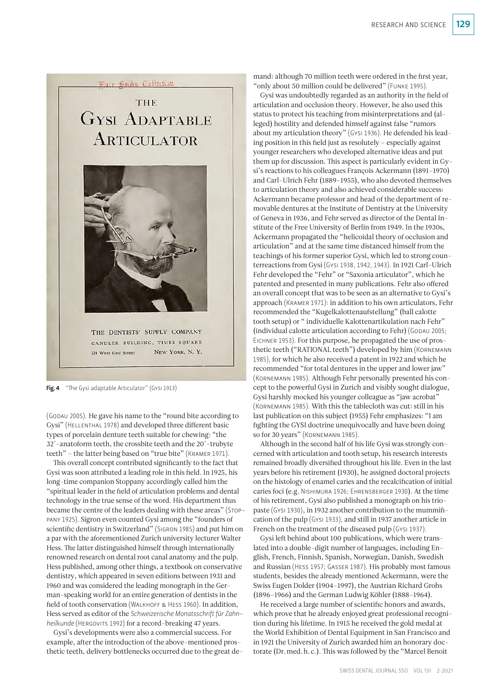#### Fare Books Collection

## **THE GYSI ADAPTABLE** ARTICULATOR



THE DENTISTS' SUPPLY COMPANY CANDLER BUILDING, TIMES SQUARE 220 West 42nd Street NEW YORK, N.Y.

(Godau 2005). He gave his name to the "round bite according to Gysi" (HELLENTHAL 1978) and developed three different basic types of porcelain denture teeth suitable for chewing: "the 32°-anatoform teeth, the crossbite teeth and the 20°-trubyte teeth" – the latter being based on "true bite" (Kramer 1971).

This overall concept contributed significantly to the fact that Gysi was soon attributed a leading role in this field. In 1925, his long-time companion Stoppany accordingly called him the "spiritual leader in the field of articulation problems and dental technology in the true sense of the word. His department thus became the centre of the leaders dealing with these areas" (STOPpany 1925). Sigron even counted Gysi among the "founders of scientific dentistry in Switzerland" (Sigron 1985) and put him on a par with the aforementioned Zurich university lecturer Walter Hess. The latter distinguished himself through internationally renowned research on dental root canal anatomy and the pulp. Hess published, among other things, a textbook on conservative dentistry, which appeared in seven editions between 1931 and 1960 and was considered the leading monograph in the German-speaking world for an entire generation of dentists in the field of tooth conservation (Walkhoff & Hess 1960). In addition, Hess served as editor of the *Schweizerische Monatsschrift für Zahnheilkunde* (Hergovits 1992) for a record-breaking 47 years.

Gysi's developments were also a commercial success. For example, after the introduction of the above-mentioned prosthetic teeth, delivery bottlenecks occurred due to the great demand: although 70 million teeth were ordered in the first year, "only about 50 million could be delivered" (Funke 1995).

Gysi was undoubtedly regarded as an authority in the field of articulation and occlusion theory. However, he also used this status to protect his teaching from misinterpretations and (alleged) hostility and defended himself against false "rumors about my articulation theory" (Gysi 1936). He defended his leading position in this field just as resolutely – especially against younger researchers who developed alternative ideas and put them up for discussion. This aspect is particularly evident in Gysi's reactions to his colleagues François Ackermann (1891–1970) and Carl-Ulrich Fehr (1889–1955), who also devoted themselves to articulation theory and also achieved considerable success: Ackermann became professor and head of the department of removable dentures at the Institute of Dentistry at the University of Geneva in 1936, and Fehr served as director of the Dental Institute of the Free University of Berlin from 1949. In the 1930s, Ackermann propagated the "helicoidal theory of occlusion and articulation" and at the same time distanced himself from the teachings of his former superior Gysi, which led to strong counterreactions from Gysi (Gysi 1938, 1942, 1943). In 1921 Carl-Ulrich Fehr developed the "Fehr" or "Saxonia articulator", which he patented and presented in many publications. Fehr also offered an overall concept that was to be seen as an alternative to Gysi's approach (Kramer 1971): in addition to his own articulators, Fehr recommended the "Kugelkalottenaufstellung" (ball calotte tooth setup) or " individuelle Kalottenartikulation nach Fehr" (individual calotte articulation according to Fehr) (GODAU 2005; Eichner 1953). For this purpose, he propagated the use of prosthetic teeth ("RATIONAL teeth") developed by him (Kornemann 1985), for which he also received a patent in 1922 and which he recommended "for total dentures in the upper and lower jaw" (Kornemann 1985). Although Fehr personally presented his concept to the powerful Gysi in Zurich and visibly sought dialogue, Gysi harshly mocked his younger colleague as "jaw acrobat" (Kornemann 1985). With this the tablecloth was cut: still in his last publication on this subject (1955) Fehr emphasizes: "I am fighting the GYSI doctrine unequivocally and have been doing so for 30 years" (KORNEMANN 1985).

Although in the second half of his life Gysi was strongly concerned with articulation and tooth setup, his research interests remained broadly diversified throughout his life. Even in the last years before his retirement (1930), he assigned doctoral projects on the histology of enamel caries and the recalcification of initial caries foci (e.g. Nishimura 1926; Ehrensberger 1930). At the time of his retirement, Gysi also published a monograph on his triopaste (Gysi 1930), in 1932 another contribution to the mummification of the pulp (Gysi 1933), and still in 1937 another article in French on the treatment of the diseased pulp (Gysi 1937).

Gysi left behind about 100 publications, which were translated into a double-digit number of languages, including English, French, Finnish, Spanish, Norwegian, Danish, Swedish and Russian (Hess 1957; Gasser 1987). His probably most famous students, besides the already mentioned Ackermann, were the Swiss Eugen Dolder (1904–1997), the Austrian Richard Grohs (1896–1966) and the German Ludwig Köhler (1888–1964).

He received a large number of scientific honors and awards, which prove that he already enjoyed great professional recognition during his lifetime. In 1915 he received the gold medal at the World Exhibition of Dental Equipment in San Francisco and in 1921 the University of Zurich awarded him an honorary doctorate (Dr. med. h. c.). This was followed by the "Marcel Benoit

Fig. 4 "The Gysi adaptable Articulator" (Gysi 1913)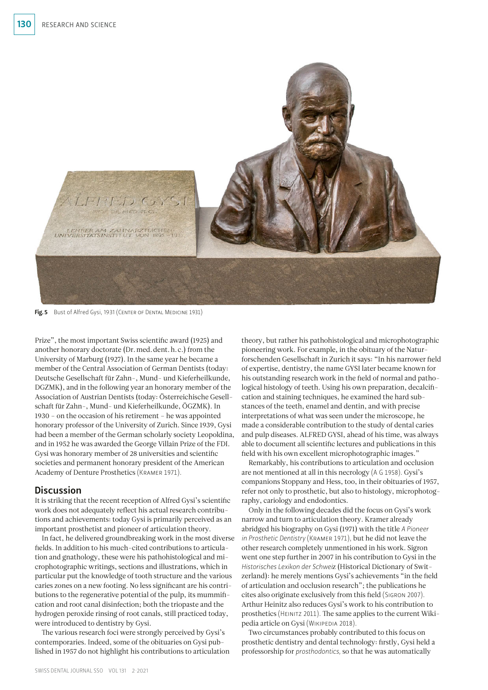

Fig. 5 Bust of Alfred Gysi, 1931 (CENTER OF DENTAL MEDICINE 1931)

Prize", the most important Swiss scientific award (1925) and another honorary doctorate (Dr. med. dent. h. c.) from the University of Marburg (1927). In the same year he became a member of the Central Association of German Dentists (today: Deutsche Gesellschaft für Zahn-, Mund- und Kieferheilkunde, DGZMK), and in the following year an honorary member of the Association of Austrian Dentists (today: Österreichische Gesellschaft für Zahn-, Mund- und Kieferheilkunde, ÖGZMK). In 1930 – on the occasion of his retirement – he was appointed honorary professor of the University of Zurich. Since 1939, Gysi had been a member of the German scholarly society Leopoldina, and in 1952 he was awarded the George Villain Prize of the FDI. Gysi was honorary member of 28 universities and scientific societies and permanent honorary president of the American Academy of Denture Prosthetics (Kramer 1971).

## **Discussion**

It is striking that the recent reception of Alfred Gysi's scientific work does not adequately reflect his actual research contributions and achievements: today Gysi is primarily perceived as an important prosthetist and pioneer of articulation theory.

In fact, he delivered groundbreaking work in the most diverse fields. In addition to his much-cited contributions to articulation and gnathology, these were his pathohistological and microphotographic writings, sections and illustrations, which in particular put the knowledge of tooth structure and the various caries zones on a new footing. No less significant are his contributions to the regenerative potential of the pulp, its mummification and root canal disinfection; both the triopaste and the hydrogen peroxide rinsing of root canals, still practiced today, were introduced to dentistry by Gysi.

The various research foci were strongly perceived by Gysi's contemporaries. Indeed, some of the obituaries on Gysi published in 1957 do not highlight his contributions to articulation

theory, but rather his pathohistological and microphotographic pioneering work. For example, in the obituary of the Naturforschenden Gesellschaft in Zurich it says: "In his narrower field of expertise, dentistry, the name GYSI later became known for his outstanding research work in the field of normal and pathological histology of teeth. Using his own preparation, decalcification and staining techniques, he examined the hard substances of the teeth, enamel and dentin, and with precise interpretations of what was seen under the microscope, he made a considerable contribution to the study of dental caries and pulp diseases. ALFRED GYSI, ahead of his time, was always able to document all scientific lectures and publications in this field with his own excellent microphotographic images."

Remarkably, his contributions to articulation and occlusion are not mentioned at all in this necrology (A G 1958). Gysi's companions Stoppany and Hess, too, in their obituaries of 1957, refer not only to prosthetic, but also to histology, microphotography, cariology and endodontics.

Only in the following decades did the focus on Gysi's work narrow and turn to articulation theory. Kramer already abridged his biography on Gysi (1971) with the title *A Pioneer in Prosthetic Dentistry* (Kramer 1971), but he did not leave the other research completely unmentioned in his work. Sigron went one step further in 2007 in his contribution to Gysi in the *Historisches Lexikon der Schwei*z (Historical Dictionary of Switzerland): he merely mentions Gysi's achievements "in the field of articulation and occlusion research"; the publications he cites also originate exclusively from this field (Sigron 2007). Arthur Heinitz also reduces Gysi's work to his contribution to prosthetics (Heinitz 2011). The same applies to the current Wikipedia article on Gysi (WIKIPEDIA 2018).

Two circumstances probably contributed to this focus on prosthetic dentistry and dental technology: firstly, Gysi held a professorship for *prosthodontics,* so that he was automatically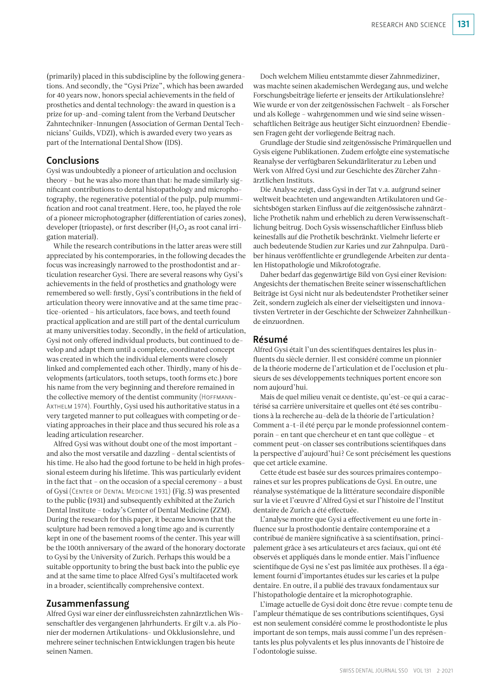(primarily) placed in this subdiscipline by the following generations. And secondly, the "Gysi Prize", which has been awarded for 40 years now, honors special achievements in the field of prosthetics and dental technology: the award in question is a prize for up-and-coming talent from the Verband Deutscher Zahntechniker-Innungen (Association of German Dental Technicians' Guilds, VDZI), which is awarded every two years as part of the International Dental Show (IDS).

## Conclusions

Gysi was undoubtedly a pioneer of articulation and occlusion theory – but he was also more than that: he made similarly significant contributions to dental histopathology and microphotography, the regenerative potential of the pulp, pulp mummification and root canal treatment. Here, too, he played the role of a pioneer microphotographer (differentiation of caries zones), developer (triopaste), or first describer  $(H<sub>2</sub>O<sub>2</sub>)$  as root canal irrigation material).

While the research contributions in the latter areas were still appreciated by his contemporaries, in the following decades the focus was increasingly narrowed to the prosthodontist and articulation researcher Gysi. There are several reasons why Gysi's achievements in the field of prosthetics and gnathology were remembered so well: firstly, Gysi's contributions in the field of articulation theory were innovative and at the same time practice-oriented – his articulators, face bows, and teeth found practical application and are still part of the dental curriculum at many universities today. Secondly, in the field of articulation, Gysi not only offered individual products, but continued to develop and adapt them until a complete, coordinated concept was created in which the individual elements were closely linked and complemented each other. Thirdly, many of his developments (articulators, tooth setups, tooth forms etc.) bore his name from the very beginning and therefore remained in the collective memory of the dentist community (HOFFMANN-Axthelm 1974). Fourthly, Gysi used his authoritative status in a very targeted manner to put colleagues with competing or deviating approaches in their place and thus secured his role as a leading articulation researcher.

Alfred Gysi was without doubt one of the most important – and also the most versatile and dazzling – dental scientists of his time. He also had the good fortune to be held in high professional esteem during his lifetime. This was particularly evident in the fact that – on the occasion of a special ceremony – a bust of Gysi (Center of Dental Medicine 1931) (Fig. 5) was presented to the public (1931) and subsequently exhibited at the Zurich Dental Institute – today's Center of Dental Medicine (ZZM). During the research for this paper, it became known that the sculpture had been removed a long time ago and is currently kept in one of the basement rooms of the center. This year will be the 100th anniversary of the award of the honorary doctorate to Gysi by the University of Zurich. Perhaps this would be a suitable opportunity to bring the bust back into the public eye and at the same time to place Alfred Gysi's multifaceted work in a broader, scientifically comprehensive context.

## Zusammenfassung

Alfred Gysi war einer der einflussreichsten zahnärztlichen Wissenschaftler des vergangenen Jahrhunderts. Er gilt v.a. als Pionier der modernen Artikulations- und Okklusionslehre, und mehrere seiner technischen Entwicklungen tragen bis heute seinen Namen.

Doch welchem Milieu entstammte dieser Zahnmediziner, was machte seinen akademischen Werdegang aus, und welche Forschungsbeiträge lieferte er jenseits der Artikulationslehre? Wie wurde er von der zeitgenössischen Fachwelt – als Forscher und als Kollege – wahrgenommen und wie sind seine wissenschaftlichen Beiträge aus heutiger Sicht einzuordnen? Ebendiesen Fragen geht der vorliegende Beitrag nach.

Grundlage der Studie sind zeitgenössische Primärquellen und Gysis eigene Publikationen. Zudem erfolgte eine systematische Reanalyse der verfügbaren Sekundärliteratur zu Leben und Werk von Alfred Gysi und zur Geschichte des Zürcher Zahnärztlichen Instituts.

Die Analyse zeigt, dass Gysi in der Tat v.a. aufgrund seiner weltweit beachteten und angewandten Artikulatoren und Gesichtsbögen starken Einfluss auf die zeitgenössische zahnärztliche Prothetik nahm und erheblich zu deren Verwissenschaftlichung beitrug. Doch Gysis wissenschaftlicher Einfluss blieb keinesfalls auf die Prothetik beschränkt. Vielmehr lieferte er auch bedeutende Studien zur Karies und zur Zahnpulpa. Darüber hinaus veröffentlichte er grundlegende Arbeiten zur dentalen Histopathologie und Mikrofotografie.

Daher bedarf das gegenwärtige Bild von Gysi einer Revision: Angesichts der thematischen Breite seiner wissenschaftlichen Beiträge ist Gysi nicht nur als bedeutendster Prothetiker seiner Zeit, sondern zugleich als einer der vielseitigsten und innovativsten Vertreter in der Geschichte der Schweizer Zahnheilkunde einzuordnen.

## Résumé

Alfred Gysi était l'un des scientifiques dentaires les plus influents du siècle dernier. Il est considéré comme un pionnier de la théorie moderne de l'articulation et de l'occlusion et plusieurs de ses développements techniques portent encore son nom aujourd'hui.

Mais de quel milieu venait ce dentiste, qu'est-ce qui a caractérisé sa carrière universitaire et quelles ont été ses contributions à la recherche au-delà de la théorie de l'articulation ? Comment a-t-il été perçu par le monde professionnel contemporain – en tant que chercheur et en tant que collègue – et comment peut-on classer ses contributions scientifiques dans la perspective d'aujourd'hui? Ce sont précisément les questions que cet article examine.

Cette étude est basée sur des sources primaires contemporaines et sur les propres publications de Gysi. En outre, une réanalyse systématique de la littérature secondaire disponible sur la vie et l'œuvre d'Alfred Gysi et sur l'histoire de l'Institut dentaire de Zurich a été effectuée.

L'analyse montre que Gysi a effectivement eu une forte influence sur la prosthodontie dentaire contemporaine et a contribué de manière significative à sa scientifisation, principalement grâce à ses articulateurs et arcs faciaux, qui ont été observés et appliqués dans le monde entier. Mais l'influence scientifique de Gysi ne s'est pas limitée aux prothèses. Il a également fourni d'importantes études sur les caries et la pulpe dentaire. En outre, il a publié des travaux fondamentaux sur l'histopathologie dentaire et la microphotographie.

L'image actuelle de Gysi doit donc être revue : compte tenu de l'ampleur thématique de ses contributions scientifiques, Gysi est non seulement considéré comme le prosthodontiste le plus important de son temps, mais aussi comme l'un des représentants les plus polyvalents et les plus innovants de l'histoire de l'odontologie suisse.